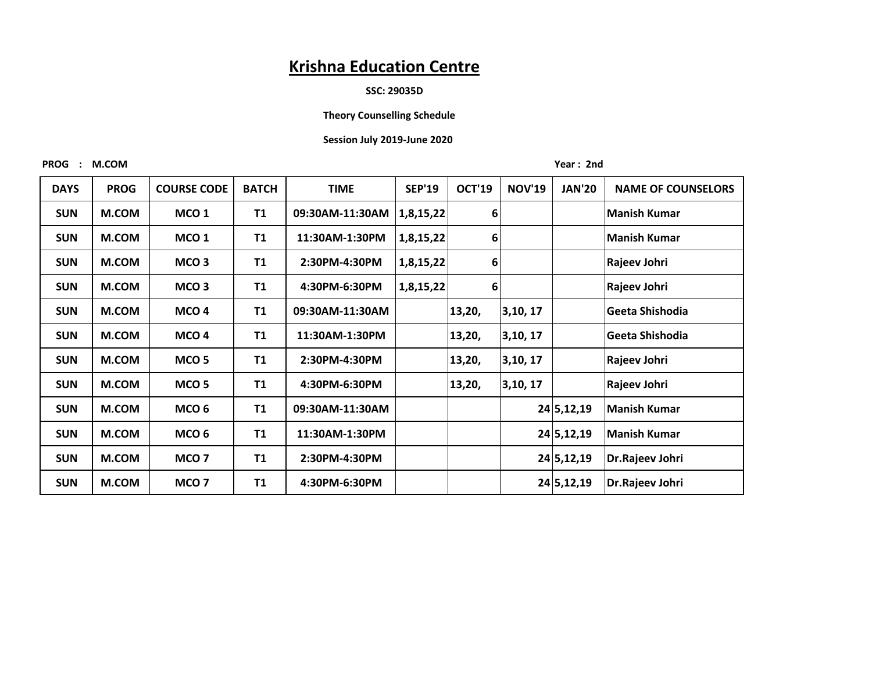#### **SSC: 29035D**

#### **Theory Counselling Schedule**

#### **Session July 2019-June 2020**

PROG : M.COM Year: 2nd

| <b>DAYS</b> | <b>PROG</b> | <b>COURSE CODE</b> | <b>BATCH</b> | <b>TIME</b>     | <b>SEP'19</b> | <b>OCT'19</b> | <b>NOV'19</b> | <b>JAN'20</b> | <b>NAME OF COUNSELORS</b> |
|-------------|-------------|--------------------|--------------|-----------------|---------------|---------------|---------------|---------------|---------------------------|
| <b>SUN</b>  | M.COM       | MCO <sub>1</sub>   | <b>T1</b>    | 09:30AM-11:30AM | 1,8,15,22     | 6             |               |               | Manish Kumar              |
| <b>SUN</b>  | M.COM       | MCO <sub>1</sub>   | T1           | 11:30AM-1:30PM  | 1,8,15,22     | 6             |               |               | <b>Manish Kumar</b>       |
| <b>SUN</b>  | M.COM       | MCO <sub>3</sub>   | <b>T1</b>    | 2:30PM-4:30PM   | 1,8,15,22     | $6 \mid$      |               |               | Rajeev Johri              |
| <b>SUN</b>  | M.COM       | MCO <sub>3</sub>   | <b>T1</b>    | 4:30PM-6:30PM   | 1,8,15,22     | 6             |               |               | Rajeev Johri              |
| <b>SUN</b>  | M.COM       | MCO <sub>4</sub>   | <b>T1</b>    | 09:30AM-11:30AM |               | 13,20,        | 3,10,17       |               | Geeta Shishodia           |
| <b>SUN</b>  | M.COM       | MCO <sub>4</sub>   | <b>T1</b>    | 11:30AM-1:30PM  |               | 13,20,        | 3,10,17       |               | Geeta Shishodia           |
| <b>SUN</b>  | M.COM       | MCO <sub>5</sub>   | <b>T1</b>    | 2:30PM-4:30PM   |               | 13,20,        | 3,10,17       |               | Rajeev Johri              |
| <b>SUN</b>  | M.COM       | MCO <sub>5</sub>   | <b>T1</b>    | 4:30PM-6:30PM   |               | 13,20,        | 3,10,17       |               | Rajeev Johri              |
| <b>SUN</b>  | M.COM       | MCO <sub>6</sub>   | <b>T1</b>    | 09:30AM-11:30AM |               |               |               | 24 5, 12, 19  | <b>Manish Kumar</b>       |
| <b>SUN</b>  | M.COM       | MCO <sub>6</sub>   | <b>T1</b>    | 11:30AM-1:30PM  |               |               |               | 24 5, 12, 19  | <b>Manish Kumar</b>       |
| <b>SUN</b>  | M.COM       | MCO <sub>7</sub>   | <b>T1</b>    | 2:30PM-4:30PM   |               |               |               | 24 5, 12, 19  | Dr.Rajeev Johri           |
| <b>SUN</b>  | M.COM       | MCO <sub>7</sub>   | <b>T1</b>    | 4:30PM-6:30PM   |               |               |               | 24 5, 12, 19  | Dr.Rajeev Johri           |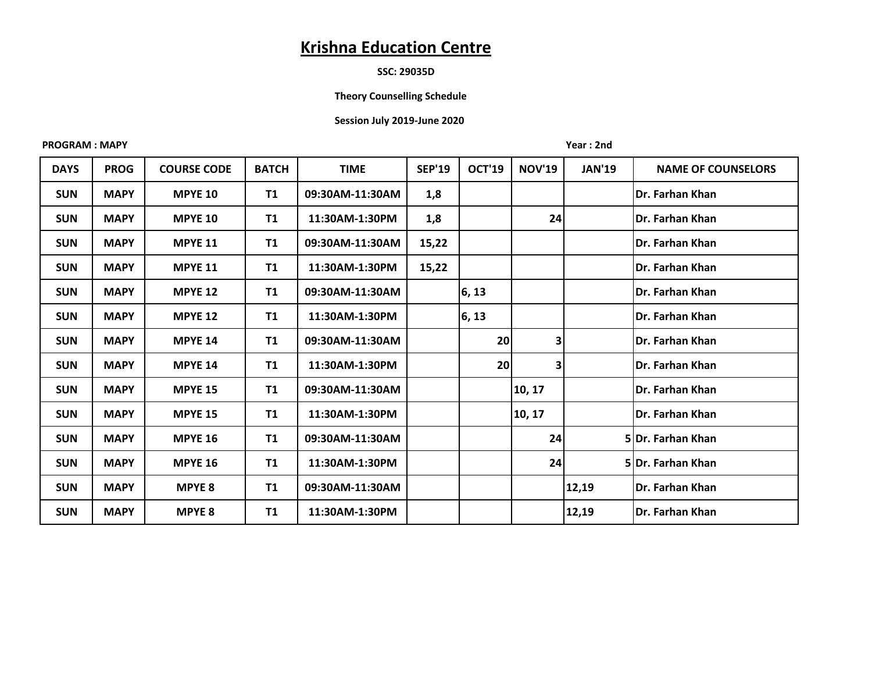# **SSC: 29035D**

# **Theory Counselling Schedule**

#### **Session July 2019-June 2020**

#### **PROGRAM : MAPY Year : 2nd**

| <b>DAYS</b> | <b>PROG</b> | <b>COURSE CODE</b> | <b>BATCH</b> | <b>TIME</b>     | <b>SEP'19</b> | <b>OCT'19</b> | <b>NOV'19</b> | <b>JAN'19</b> | <b>NAME OF COUNSELORS</b> |
|-------------|-------------|--------------------|--------------|-----------------|---------------|---------------|---------------|---------------|---------------------------|
| <b>SUN</b>  | <b>MAPY</b> | <b>MPYE 10</b>     | <b>T1</b>    | 09:30AM-11:30AM | 1,8           |               |               |               | <b>Dr. Farhan Khan</b>    |
| <b>SUN</b>  | <b>MAPY</b> | <b>MPYE 10</b>     | <b>T1</b>    | 11:30AM-1:30PM  | 1,8           |               | 24            |               | <b>Dr. Farhan Khan</b>    |
| <b>SUN</b>  | <b>MAPY</b> | <b>MPYE 11</b>     | <b>T1</b>    | 09:30AM-11:30AM | 15,22         |               |               |               | Dr. Farhan Khan           |
| <b>SUN</b>  | <b>MAPY</b> | <b>MPYE 11</b>     | <b>T1</b>    | 11:30AM-1:30PM  | 15,22         |               |               |               | <b>Dr. Farhan Khan</b>    |
| <b>SUN</b>  | <b>MAPY</b> | <b>MPYE 12</b>     | <b>T1</b>    | 09:30AM-11:30AM |               | 6, 13         |               |               | lDr. Farhan Khan          |
| <b>SUN</b>  | <b>MAPY</b> | <b>MPYE 12</b>     | <b>T1</b>    | 11:30AM-1:30PM  |               | 6, 13         |               |               | <b>Dr. Farhan Khan</b>    |
| <b>SUN</b>  | <b>MAPY</b> | <b>MPYE 14</b>     | <b>T1</b>    | 09:30AM-11:30AM |               | 20            | 3             |               | <b>Dr. Farhan Khan</b>    |
| <b>SUN</b>  | <b>MAPY</b> | <b>MPYE 14</b>     | <b>T1</b>    | 11:30AM-1:30PM  |               | 20            | $\mathbf{3}$  |               | Dr. Farhan Khan           |
| <b>SUN</b>  | <b>MAPY</b> | <b>MPYE 15</b>     | <b>T1</b>    | 09:30AM-11:30AM |               |               | 10, 17        |               | <b>Dr. Farhan Khan</b>    |
| <b>SUN</b>  | <b>MAPY</b> | <b>MPYE 15</b>     | <b>T1</b>    | 11:30AM-1:30PM  |               |               | 10, 17        |               | Dr. Farhan Khan           |
| <b>SUN</b>  | <b>MAPY</b> | <b>MPYE 16</b>     | <b>T1</b>    | 09:30AM-11:30AM |               |               | 24            |               | 5 Dr. Farhan Khan         |
| <b>SUN</b>  | <b>MAPY</b> | <b>MPYE 16</b>     | <b>T1</b>    | 11:30AM-1:30PM  |               |               | 24            |               | 5Dr. Farhan Khan          |
| <b>SUN</b>  | <b>MAPY</b> | <b>MPYE 8</b>      | <b>T1</b>    | 09:30AM-11:30AM |               |               |               | 12,19         | <b>Dr. Farhan Khan</b>    |
| <b>SUN</b>  | <b>MAPY</b> | <b>MPYE 8</b>      | <b>T1</b>    | 11:30AM-1:30PM  |               |               |               | 12,19         | Dr. Farhan Khan           |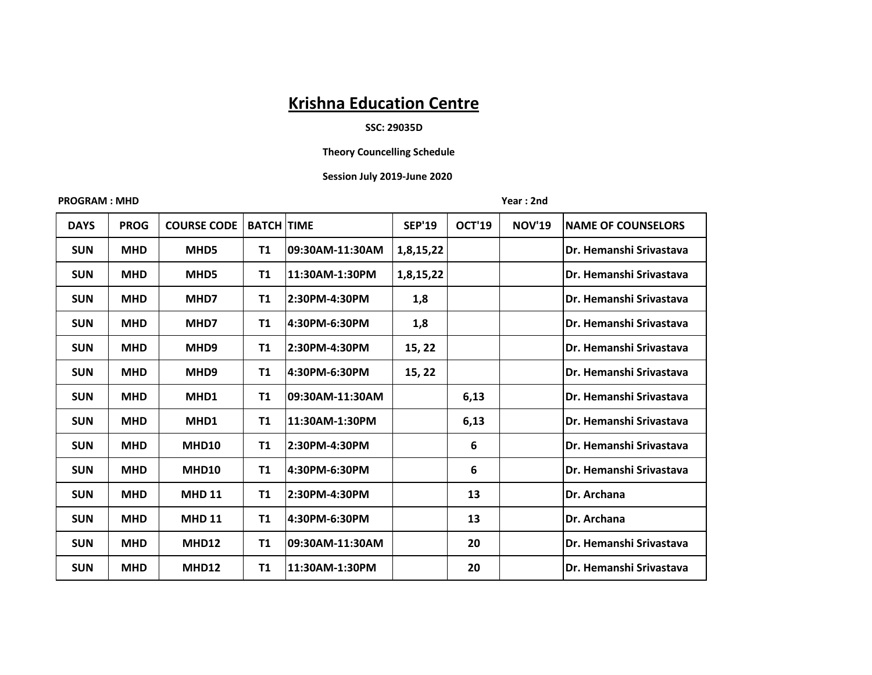# **SSC: 29035D**

# **Theory Councelling Schedule**

#### **Session July 2019-June 2020**

**PROGRAM : MHD Year : 2nd** 

| <b>DAYS</b> | <b>PROG</b> | <b>COURSE CODE</b> | <b>BATCH TIME</b> |                 | <b>SEP'19</b> | <b>OCT'19</b> | <b>NOV'19</b> | <b>NAME OF COUNSELORS</b> |
|-------------|-------------|--------------------|-------------------|-----------------|---------------|---------------|---------------|---------------------------|
| <b>SUN</b>  | <b>MHD</b>  | MHD5               | T1                | 09:30AM-11:30AM | 1,8,15,22     |               |               | Dr. Hemanshi Srivastava   |
| <b>SUN</b>  | <b>MHD</b>  | MHD5               | <b>T1</b>         | 11:30AM-1:30PM  | 1,8,15,22     |               |               | Dr. Hemanshi Srivastava   |
| <b>SUN</b>  | <b>MHD</b>  | MHD7               | T1                | 2:30PM-4:30PM   | 1,8           |               |               | Dr. Hemanshi Srivastava   |
| <b>SUN</b>  | <b>MHD</b>  | MHD7               | <b>T1</b>         | 4:30PM-6:30PM   | 1,8           |               |               | Dr. Hemanshi Srivastava   |
| <b>SUN</b>  | <b>MHD</b>  | MHD <sub>9</sub>   | <b>T1</b>         | 2:30PM-4:30PM   | 15, 22        |               |               | Dr. Hemanshi Srivastava   |
| <b>SUN</b>  | <b>MHD</b>  | MHD <sub>9</sub>   | <b>T1</b>         | 4:30PM-6:30PM   | 15, 22        |               |               | Dr. Hemanshi Srivastava   |
| <b>SUN</b>  | <b>MHD</b>  | MHD1               | <b>T1</b>         | 09:30AM-11:30AM |               | 6,13          |               | Dr. Hemanshi Srivastava   |
| <b>SUN</b>  | <b>MHD</b>  | MHD1               | <b>T1</b>         | 11:30AM-1:30PM  |               | 6,13          |               | Dr. Hemanshi Srivastava   |
| <b>SUN</b>  | <b>MHD</b>  | MHD10              | T1                | 2:30PM-4:30PM   |               | 6             |               | Dr. Hemanshi Srivastava   |
| <b>SUN</b>  | <b>MHD</b>  | MHD10              | <b>T1</b>         | 4:30PM-6:30PM   |               | 6             |               | Dr. Hemanshi Srivastava   |
| <b>SUN</b>  | <b>MHD</b>  | <b>MHD 11</b>      | T1                | 2:30PM-4:30PM   |               | 13            |               | Dr. Archana               |
| <b>SUN</b>  | <b>MHD</b>  | <b>MHD 11</b>      | <b>T1</b>         | 4:30PM-6:30PM   |               | 13            |               | Dr. Archana               |
| <b>SUN</b>  | <b>MHD</b>  | MHD12              | <b>T1</b>         | 09:30AM-11:30AM |               | 20            |               | Dr. Hemanshi Srivastava   |
| <b>SUN</b>  | <b>MHD</b>  | MHD12              | <b>T1</b>         | 11:30AM-1:30PM  |               | 20            |               | Dr. Hemanshi Srivastava   |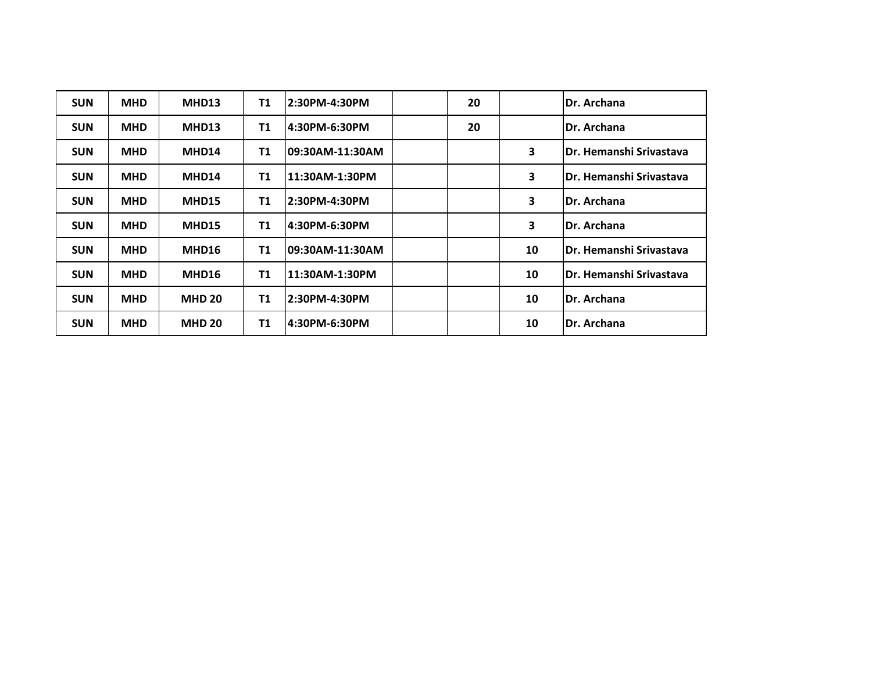| <b>SUN</b> | <b>MHD</b> | MHD13         | <b>T1</b>      | 2:30PM-4:30PM    | 20 |    | Dr. Archana              |
|------------|------------|---------------|----------------|------------------|----|----|--------------------------|
| <b>SUN</b> | <b>MHD</b> | MHD13         | T <sub>1</sub> | l4:30PM-6:30PM   | 20 |    | Dr. Archana              |
| <b>SUN</b> | <b>MHD</b> | MHD14         | <b>T1</b>      | l09:30AM-11:30AM |    | 3  | IDr. Hemanshi Srivastava |
| <b>SUN</b> | <b>MHD</b> | MHD14         | T <sub>1</sub> | 11:30AM-1:30PM   |    | 3  | lDr. Hemanshi Srivastava |
| <b>SUN</b> | <b>MHD</b> | <b>MHD15</b>  | T <sub>1</sub> | l2:30PM-4:30PM   |    | 3  | <b>IDr. Archana</b>      |
| <b>SUN</b> | <b>MHD</b> | MHD15         | <b>T1</b>      | 14:30PM-6:30PM   |    | 3  | <b>IDr. Archana</b>      |
| <b>SUN</b> | <b>MHD</b> | MHD16         | <b>T1</b>      | 109:30AM-11:30AM |    | 10 | IDr. Hemanshi Srivastava |
| <b>SUN</b> | <b>MHD</b> | MHD16         | T <sub>1</sub> | 11:30AM-1:30PM   |    | 10 | IDr. Hemanshi Srivastava |
| <b>SUN</b> | <b>MHD</b> | <b>MHD 20</b> | T <sub>1</sub> | l2:30PM-4:30PM   |    | 10 | Dr. Archana              |
| <b>SUN</b> | <b>MHD</b> | <b>MHD 20</b> | T1             | l4:30PM-6:30PM   |    | 10 | Dr. Archana              |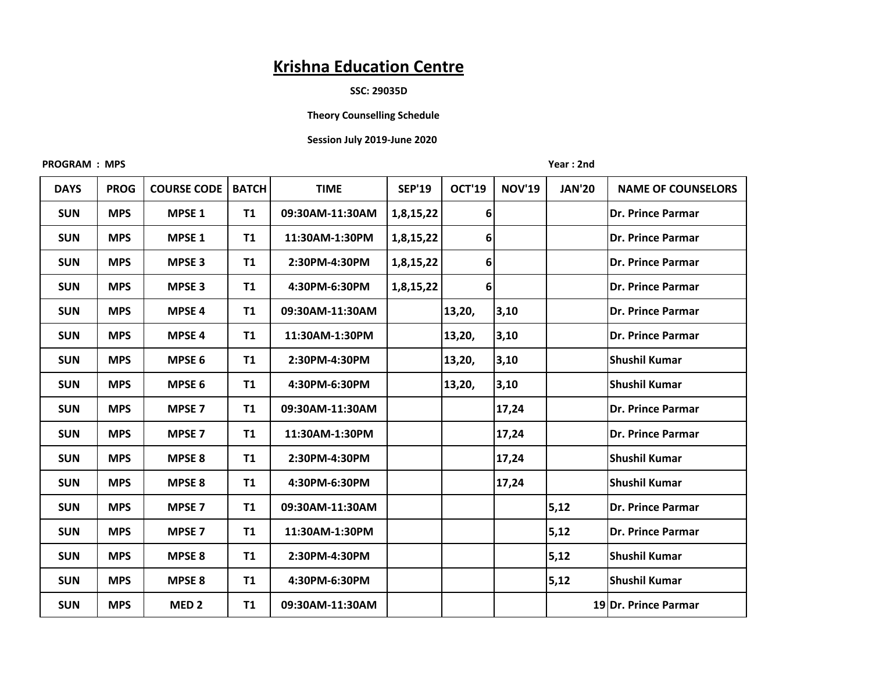#### **SSC: 29035D**

# **Theory Counselling Schedule**

# **Session July 2019-June 2020**

#### **PROGRAM : MPS Year : 2nd**

| <b>DAYS</b> | <b>PROG</b> | <b>COURSE CODE</b> | <b>BATCH</b> | <b>TIME</b>     | <b>SEP'19</b> | <b>OCT'19</b> | <b>NOV'19</b> | <b>JAN'20</b> | <b>NAME OF COUNSELORS</b> |
|-------------|-------------|--------------------|--------------|-----------------|---------------|---------------|---------------|---------------|---------------------------|
| <b>SUN</b>  | <b>MPS</b>  | MPSE <sub>1</sub>  | <b>T1</b>    | 09:30AM-11:30AM | 1,8,15,22     | 6             |               |               | Dr. Prince Parmar         |
| <b>SUN</b>  | <b>MPS</b>  | MPSE <sub>1</sub>  | <b>T1</b>    | 11:30AM-1:30PM  | 1,8,15,22     | 6             |               |               | Dr. Prince Parmar         |
| <b>SUN</b>  | <b>MPS</b>  | <b>MPSE 3</b>      | <b>T1</b>    | 2:30PM-4:30PM   | 1,8,15,22     | 6             |               |               | Dr. Prince Parmar         |
| <b>SUN</b>  | <b>MPS</b>  | <b>MPSE 3</b>      | <b>T1</b>    | 4:30PM-6:30PM   | 1,8,15,22     | 6             |               |               | Dr. Prince Parmar         |
| <b>SUN</b>  | <b>MPS</b>  | <b>MPSE 4</b>      | T1           | 09:30AM-11:30AM |               | 13,20,        | 3,10          |               | Dr. Prince Parmar         |
| <b>SUN</b>  | <b>MPS</b>  | <b>MPSE 4</b>      | <b>T1</b>    | 11:30AM-1:30PM  |               | 13,20,        | 3,10          |               | Dr. Prince Parmar         |
| <b>SUN</b>  | <b>MPS</b>  | MPSE <sub>6</sub>  | <b>T1</b>    | 2:30PM-4:30PM   |               | 13,20,        | 3,10          |               | Shushil Kumar             |
| <b>SUN</b>  | <b>MPS</b>  | MPSE <sub>6</sub>  | <b>T1</b>    | 4:30PM-6:30PM   |               | 13,20,        | 3,10          |               | Shushil Kumar             |
| <b>SUN</b>  | <b>MPS</b>  | <b>MPSE 7</b>      | <b>T1</b>    | 09:30AM-11:30AM |               |               | 17,24         |               | Dr. Prince Parmar         |
| <b>SUN</b>  | <b>MPS</b>  | <b>MPSE 7</b>      | <b>T1</b>    | 11:30AM-1:30PM  |               |               | 17,24         |               | Dr. Prince Parmar         |
| <b>SUN</b>  | <b>MPS</b>  | <b>MPSE 8</b>      | <b>T1</b>    | 2:30PM-4:30PM   |               |               | 17,24         |               | <b>Shushil Kumar</b>      |
| <b>SUN</b>  | <b>MPS</b>  | <b>MPSE 8</b>      | <b>T1</b>    | 4:30PM-6:30PM   |               |               | 17,24         |               | <b>Shushil Kumar</b>      |
| <b>SUN</b>  | <b>MPS</b>  | <b>MPSE 7</b>      | <b>T1</b>    | 09:30AM-11:30AM |               |               |               | 5,12          | Dr. Prince Parmar         |
| <b>SUN</b>  | <b>MPS</b>  | <b>MPSE 7</b>      | <b>T1</b>    | 11:30AM-1:30PM  |               |               |               | 5,12          | Dr. Prince Parmar         |
| <b>SUN</b>  | <b>MPS</b>  | <b>MPSE 8</b>      | <b>T1</b>    | 2:30PM-4:30PM   |               |               |               | 5,12          | Shushil Kumar             |
| <b>SUN</b>  | <b>MPS</b>  | <b>MPSE 8</b>      | <b>T1</b>    | 4:30PM-6:30PM   |               |               |               | 5,12          | Shushil Kumar             |
| <b>SUN</b>  | <b>MPS</b>  | MED <sub>2</sub>   | <b>T1</b>    | 09:30AM-11:30AM |               |               |               |               | 19 Dr. Prince Parmar      |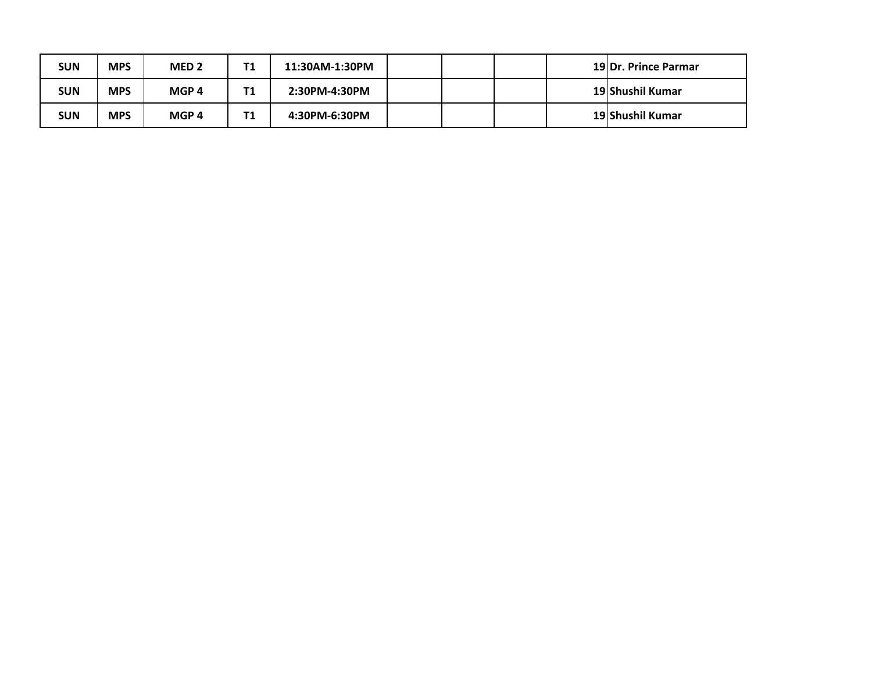| <b>SUN</b> | <b>MPS</b> | MED <sub>2</sub> | Τ1 | 11:30AM-1:30PM |  |  | 19 Dr. Prince Parmar |
|------------|------------|------------------|----|----------------|--|--|----------------------|
| <b>SUN</b> | <b>MPS</b> | MGP <sub>4</sub> | Τ1 | 2:30PM-4:30PM  |  |  | 19 Shushil Kumar     |
| <b>SUN</b> | <b>MPS</b> | MGP <sub>4</sub> | Τ1 | 4:30PM-6:30PM  |  |  | 19 Shushil Kumar     |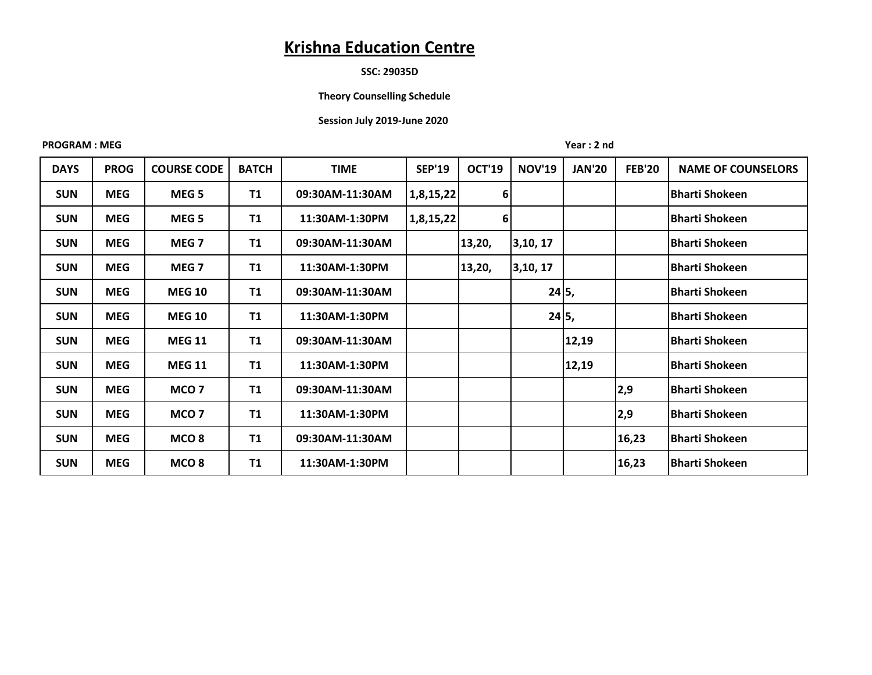## **SSC: 29035D**

## **Theory Counselling Schedule**

#### **Session July 2019-June 2020**

#### **PROGRAM : MEG** Year : 2 nd

| <b>DAYS</b> | <b>PROG</b> | <b>COURSE CODE</b> | <b>BATCH</b> | <b>TIME</b>     | <b>SEP'19</b> | <b>OCT'19</b> | <b>NOV'19</b> | <b>JAN'20</b> | <b>FEB'20</b> | <b>NAME OF COUNSELORS</b> |
|-------------|-------------|--------------------|--------------|-----------------|---------------|---------------|---------------|---------------|---------------|---------------------------|
| <b>SUN</b>  | <b>MEG</b>  | MEG <sub>5</sub>   | <b>T1</b>    | 09:30AM-11:30AM | 1,8,15,22     | 6             |               |               |               | <b>Bharti Shokeen</b>     |
| <b>SUN</b>  | <b>MEG</b>  | MEG <sub>5</sub>   | T1           | 11:30AM-1:30PM  | 1,8,15,22     | 6             |               |               |               | <b>Bharti Shokeen</b>     |
| <b>SUN</b>  | <b>MEG</b>  | MEG <sub>7</sub>   | T1           | 09:30AM-11:30AM |               | 13,20,        | 3,10,17       |               |               | <b>Bharti Shokeen</b>     |
| <b>SUN</b>  | <b>MEG</b>  | MEG <sub>7</sub>   | T1           | 11:30AM-1:30PM  |               | 13,20,        | 3,10,17       |               |               | <b>Bharti Shokeen</b>     |
| <b>SUN</b>  | <b>MEG</b>  | <b>MEG 10</b>      | T1           | 09:30AM-11:30AM |               |               | 24 5,         |               |               | <b>Bharti Shokeen</b>     |
| <b>SUN</b>  | <b>MEG</b>  | <b>MEG 10</b>      | <b>T1</b>    | 11:30AM-1:30PM  |               |               | 24 5,         |               |               | <b>Bharti Shokeen</b>     |
| <b>SUN</b>  | <b>MEG</b>  | <b>MEG 11</b>      | <b>T1</b>    | 09:30AM-11:30AM |               |               |               | 12,19         |               | <b>Bharti Shokeen</b>     |
| <b>SUN</b>  | <b>MEG</b>  | <b>MEG 11</b>      | T1           | 11:30AM-1:30PM  |               |               |               | 12,19         |               | <b>Bharti Shokeen</b>     |
| <b>SUN</b>  | <b>MEG</b>  | MCO <sub>7</sub>   | <b>T1</b>    | 09:30AM-11:30AM |               |               |               |               | 2,9           | <b>Bharti Shokeen</b>     |
| <b>SUN</b>  | <b>MEG</b>  | MCO <sub>7</sub>   | T1           | 11:30AM-1:30PM  |               |               |               |               | 2,9           | <b>Bharti Shokeen</b>     |
| <b>SUN</b>  | <b>MEG</b>  | MCO <sub>8</sub>   | T1           | 09:30AM-11:30AM |               |               |               |               | 16,23         | Bharti Shokeen            |
| <b>SUN</b>  | <b>MEG</b>  | MCO <sub>8</sub>   | <b>T1</b>    | 11:30AM-1:30PM  |               |               |               |               | 16,23         | Bharti Shokeen            |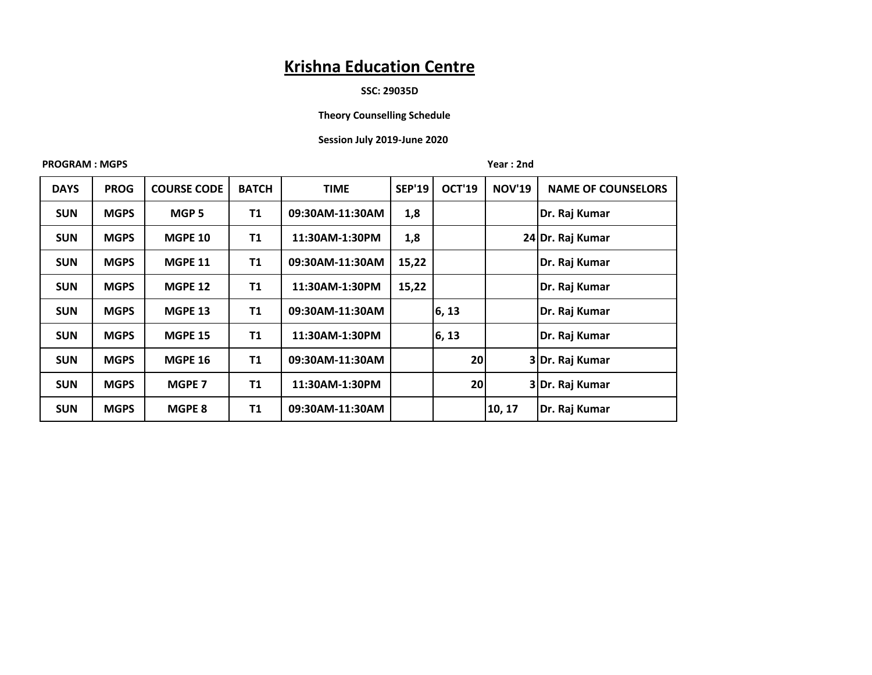#### **SSC: 29035D**

# **Theory Counselling Schedule**

## **Session July 2019-June 2020**

### **PROGRAM : MGPS** Year : 2nd

| <b>DAYS</b> | <b>PROG</b> | <b>COURSE CODE</b> | <b>BATCH</b> | <b>TIME</b>     | <b>SEP'19</b> | <b>OCT'19</b> | <b>NOV'19</b> | <b>NAME OF COUNSELORS</b> |
|-------------|-------------|--------------------|--------------|-----------------|---------------|---------------|---------------|---------------------------|
| <b>SUN</b>  | <b>MGPS</b> | MGP <sub>5</sub>   | <b>T1</b>    | 09:30AM-11:30AM | 1,8           |               |               | Dr. Raj Kumar             |
| <b>SUN</b>  | <b>MGPS</b> | <b>MGPE 10</b>     | T1           | 11:30AM-1:30PM  | 1,8           |               |               | 24 Dr. Raj Kumar          |
| <b>SUN</b>  | <b>MGPS</b> | <b>MGPE 11</b>     | T1           | 09:30AM-11:30AM | 15,22         |               |               | Dr. Raj Kumar             |
| <b>SUN</b>  | <b>MGPS</b> | <b>MGPE 12</b>     | <b>T1</b>    | 11:30AM-1:30PM  | 15,22         |               |               | Dr. Raj Kumar             |
| <b>SUN</b>  | <b>MGPS</b> | <b>MGPE 13</b>     | <b>T1</b>    | 09:30AM-11:30AM |               | 6, 13         |               | Dr. Raj Kumar             |
| <b>SUN</b>  | <b>MGPS</b> | <b>MGPE 15</b>     | T1           | 11:30AM-1:30PM  |               | 6, 13         |               | Dr. Raj Kumar             |
| <b>SUN</b>  | <b>MGPS</b> | <b>MGPE 16</b>     | T1           | 09:30AM-11:30AM |               | 20            |               | 3Dr. Raj Kumar            |
| <b>SUN</b>  | <b>MGPS</b> | MGPE 7             | <b>T1</b>    | 11:30AM-1:30PM  |               | 20            |               | 3Dr. Raj Kumar            |
| <b>SUN</b>  | <b>MGPS</b> | MGPE 8             | <b>T1</b>    | 09:30AM-11:30AM |               |               | 10, 17        | Dr. Raj Kumar             |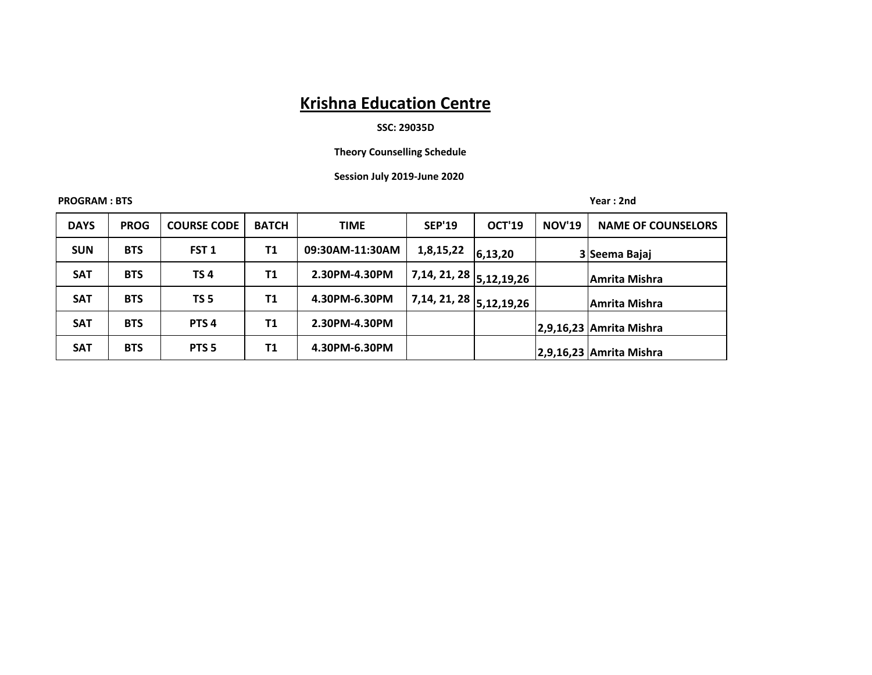# **SSC: 29035D**

 **Theory Counselling Schedule**

#### **Session July 2019-June 2020**

**PROGRAM : BTS Year : 2nd**

| <b>DAYS</b> | <b>PROG</b> | <b>COURSE CODE</b> | <b>BATCH</b> | <b>TIME</b>     | <b>SEP'19</b>                         | <b>OCT'19</b> | <b>NOV'19</b> | <b>NAME OF COUNSELORS</b> |
|-------------|-------------|--------------------|--------------|-----------------|---------------------------------------|---------------|---------------|---------------------------|
| <b>SUN</b>  | <b>BTS</b>  | FST <sub>1</sub>   | T1           | 09:30AM-11:30AM | 1,8,15,22                             | 6,13,20       |               | 3 Seema Bajaj             |
| <b>SAT</b>  | <b>BTS</b>  | <b>TS4</b>         | T1           | 2.30PM-4.30PM   | $17,14,21,28$ 5,12,19,26 <sup>1</sup> |               |               | Amrita Mishra             |
| <b>SAT</b>  | <b>BTS</b>  | TS <sub>5</sub>    | T1           | 4.30PM-6.30PM   | $17,14,21,28$ $5,12,19,26$            |               |               | Amrita Mishra             |
| <b>SAT</b>  | <b>BTS</b>  | PTS <sub>4</sub>   | T1           | 2.30PM-4.30PM   |                                       |               |               | $2,9,16,23$ Amrita Mishra |
| <b>SAT</b>  | <b>BTS</b>  | PTS <sub>5</sub>   | T1           | 4.30PM-6.30PM   |                                       |               |               | 2,9,16,23 Amrita Mishra   |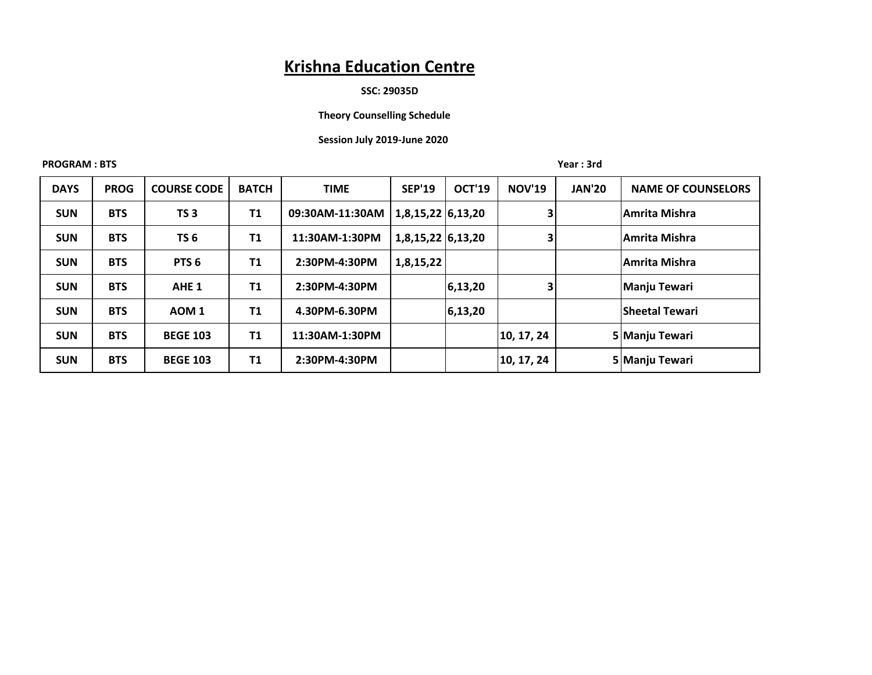#### **SSC: 29035D**

# **Theory Counselling Schedule**

# **Session July 2019-June 2020**

**PROGRAM : BTS** Year : 3rd

| <b>DAYS</b> | <b>PROG</b> | <b>COURSE CODE</b> | <b>BATCH</b> | <b>TIME</b>     | <b>SEP'19</b>     | <b>OCT'19</b> | <b>NOV'19</b> | <b>JAN'20</b> | <b>NAME OF COUNSELORS</b> |
|-------------|-------------|--------------------|--------------|-----------------|-------------------|---------------|---------------|---------------|---------------------------|
| <b>SUN</b>  | <b>BTS</b>  | TS <sub>3</sub>    | <b>T1</b>    | 09:30AM-11:30AM | 1,8,15,22 6,13,20 |               | 3             |               | lAmrita Mishra            |
| <b>SUN</b>  | <b>BTS</b>  | TS <sub>6</sub>    | <b>T1</b>    | 11:30AM-1:30PM  | 1,8,15,22 6,13,20 |               | 3             |               | Amrita Mishra             |
| <b>SUN</b>  | <b>BTS</b>  | PTS <sub>6</sub>   | T1           | 2:30PM-4:30PM   | 1,8,15,22         |               |               |               | <b>Amrita Mishra</b>      |
| <b>SUN</b>  | <b>BTS</b>  | AHE <sub>1</sub>   | T1           | 2:30PM-4:30PM   |                   | 6,13,20       | 3             |               | Manju Tewari              |
| <b>SUN</b>  | <b>BTS</b>  | AOM <sub>1</sub>   | T1           | 4.30PM-6.30PM   |                   | 6,13,20       |               |               | <b>Sheetal Tewari</b>     |
| <b>SUN</b>  | <b>BTS</b>  | <b>BEGE 103</b>    | <b>T1</b>    | 11:30AM-1:30PM  |                   |               | 10, 17, 24    |               | 5 Manju Tewari            |
| <b>SUN</b>  | <b>BTS</b>  | <b>BEGE 103</b>    | <b>T1</b>    | 2:30PM-4:30PM   |                   |               | 10, 17, 24    |               | 5 Manju Tewari            |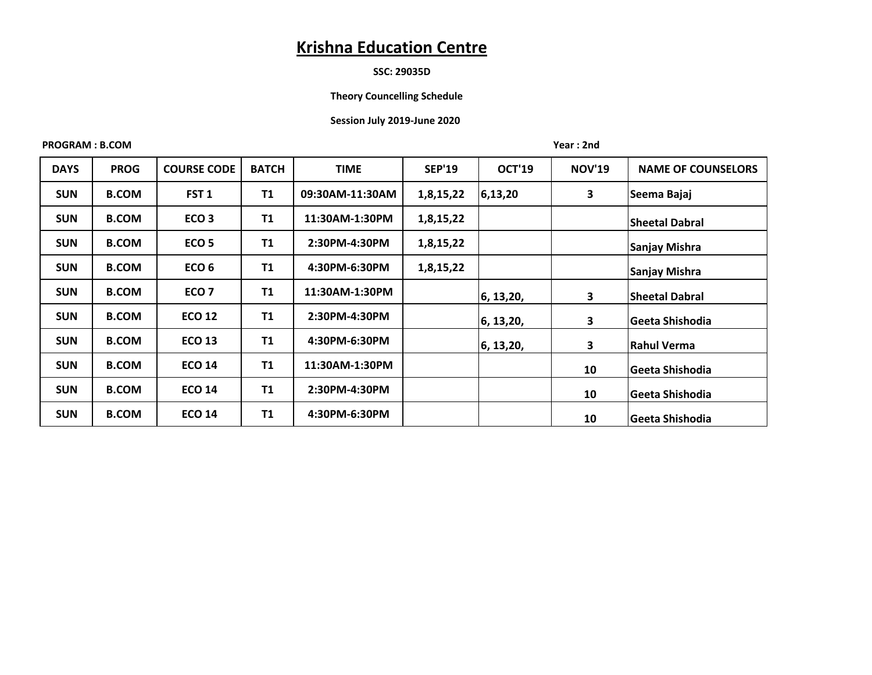# **SSC: 29035D**

## **Theory Councelling Schedule**

## **Session July 2019-June 2020**

#### **PROGRAM : B.COM Year : 2nd**

| <b>DAYS</b> | <b>PROG</b>  | <b>COURSE CODE</b> | <b>BATCH</b> | <b>TIME</b>     | <b>SEP'19</b> | <b>OCT'19</b> | <b>NOV'19</b> | <b>NAME OF COUNSELORS</b> |
|-------------|--------------|--------------------|--------------|-----------------|---------------|---------------|---------------|---------------------------|
| <b>SUN</b>  | <b>B.COM</b> | FST <sub>1</sub>   | <b>T1</b>    | 09:30AM-11:30AM | 1,8,15,22     | 6,13,20       | 3             | Seema Bajaj               |
| <b>SUN</b>  | <b>B.COM</b> | ECO <sub>3</sub>   | <b>T1</b>    | 11:30AM-1:30PM  | 1,8,15,22     |               |               | <b>Sheetal Dabral</b>     |
| <b>SUN</b>  | <b>B.COM</b> | ECO <sub>5</sub>   | <b>T1</b>    | 2:30PM-4:30PM   | 1,8,15,22     |               |               | <b>Sanjay Mishra</b>      |
| <b>SUN</b>  | <b>B.COM</b> | ECO <sub>6</sub>   | <b>T1</b>    | 4:30PM-6:30PM   | 1,8,15,22     |               |               | Sanjay Mishra             |
| <b>SUN</b>  | <b>B.COM</b> | ECO <sub>7</sub>   | T1           | 11:30AM-1:30PM  |               | 6, 13, 20,    | 3             | <b>Sheetal Dabral</b>     |
| <b>SUN</b>  | <b>B.COM</b> | <b>ECO 12</b>      | <b>T1</b>    | 2:30PM-4:30PM   |               | 6, 13, 20,    | 3             | Geeta Shishodia           |
| <b>SUN</b>  | <b>B.COM</b> | <b>ECO 13</b>      | <b>T1</b>    | 4:30PM-6:30PM   |               | 6, 13, 20,    | 3             | lRahul Verma              |
| <b>SUN</b>  | <b>B.COM</b> | <b>ECO 14</b>      | <b>T1</b>    | 11:30AM-1:30PM  |               |               | 10            | Geeta Shishodia           |
| <b>SUN</b>  | <b>B.COM</b> | <b>ECO 14</b>      | T1           | 2:30PM-4:30PM   |               |               | 10            | Geeta Shishodia           |
| <b>SUN</b>  | <b>B.COM</b> | <b>ECO 14</b>      | <b>T1</b>    | 4:30PM-6:30PM   |               |               | 10            | Geeta Shishodia           |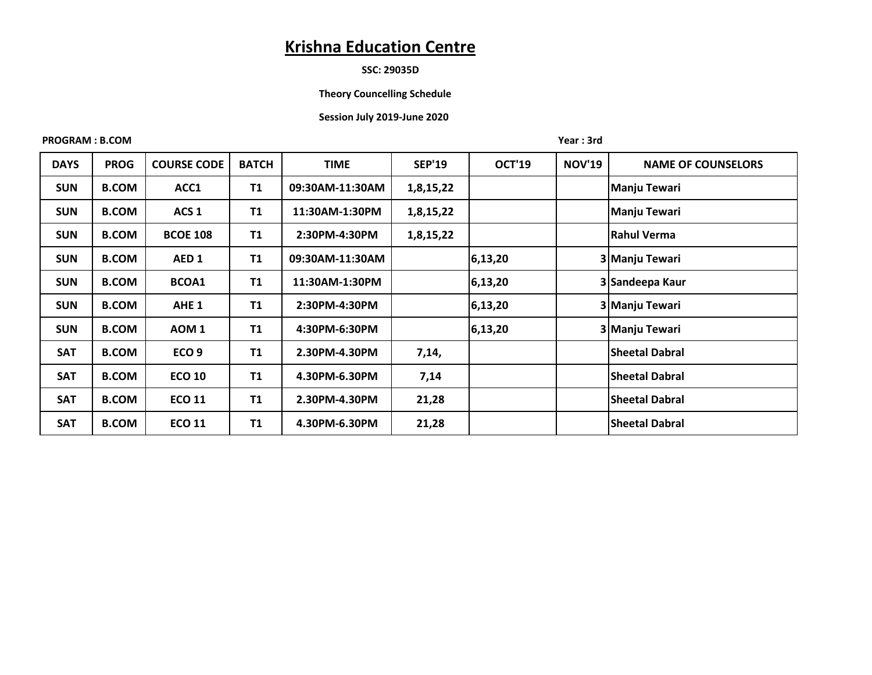### **SSC: 29035D**

#### **Theory Councelling Schedule**

## **Session July 2019-June 2020**

#### **PROGRAM : B.COM** Year : 3rd

| <b>DAYS</b> | <b>PROG</b>  | <b>COURSE CODE</b> | <b>BATCH</b> | TIME            | <b>SEP'19</b> | <b>OCT'19</b> | <b>NOV'19</b> | <b>NAME OF COUNSELORS</b> |
|-------------|--------------|--------------------|--------------|-----------------|---------------|---------------|---------------|---------------------------|
| <b>SUN</b>  | <b>B.COM</b> | ACC1               | <b>T1</b>    | 09:30AM-11:30AM | 1,8,15,22     |               |               | Manju Tewari              |
|             |              |                    |              |                 |               |               |               |                           |
| <b>SUN</b>  | <b>B.COM</b> | ACS <sub>1</sub>   | <b>T1</b>    | 11:30AM-1:30PM  | 1,8,15,22     |               |               | Manju Tewari              |
| <b>SUN</b>  | <b>B.COM</b> | <b>BCOE 108</b>    | <b>T1</b>    | 2:30PM-4:30PM   | 1,8,15,22     |               |               | <b>Rahul Verma</b>        |
| <b>SUN</b>  | <b>B.COM</b> | AED <sub>1</sub>   | <b>T1</b>    | 09:30AM-11:30AM |               | 6,13,20       |               | 3 Manju Tewari            |
| <b>SUN</b>  | <b>B.COM</b> | BCOA1              | <b>T1</b>    | 11:30AM-1:30PM  |               | 6,13,20       |               | 3 Sandeepa Kaur           |
| <b>SUN</b>  | <b>B.COM</b> | AHE <sub>1</sub>   | <b>T1</b>    | 2:30PM-4:30PM   |               | 6,13,20       |               | 3 Manju Tewari            |
| <b>SUN</b>  | <b>B.COM</b> | AOM <sub>1</sub>   | <b>T1</b>    | 4:30PM-6:30PM   |               | 6,13,20       |               | 3 Manju Tewari            |
| <b>SAT</b>  | <b>B.COM</b> | ECO <sub>9</sub>   | <b>T1</b>    | 2.30PM-4.30PM   | 7,14,         |               |               | <b>Sheetal Dabral</b>     |
| <b>SAT</b>  | <b>B.COM</b> | <b>ECO 10</b>      | <b>T1</b>    | 4.30PM-6.30PM   | 7,14          |               |               | <b>Sheetal Dabral</b>     |
| <b>SAT</b>  | <b>B.COM</b> | <b>ECO 11</b>      | <b>T1</b>    | 2.30PM-4.30PM   | 21,28         |               |               | <b>Sheetal Dabral</b>     |
| <b>SAT</b>  | <b>B.COM</b> | <b>ECO 11</b>      | <b>T1</b>    | 4.30PM-6.30PM   | 21,28         |               |               | <b>Sheetal Dabral</b>     |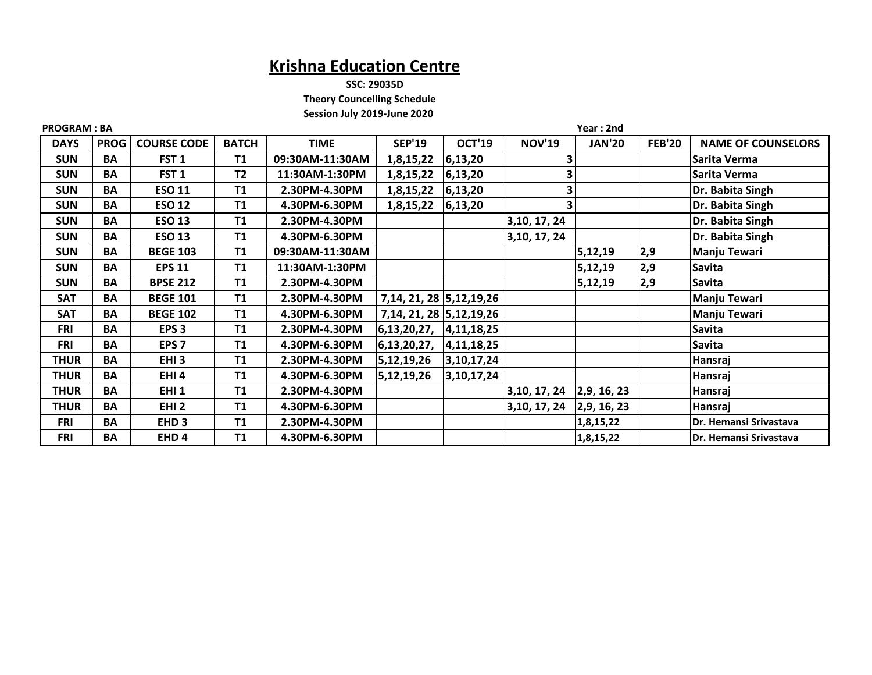**SSC: 29035D**

 **Theory Councelling Schedule**

 **Session July 2019-June 2020**

| <b>PROGRAM: BA</b> |             |                    |              |                 |                             | Year: 2nd     |               |               |               |                           |  |
|--------------------|-------------|--------------------|--------------|-----------------|-----------------------------|---------------|---------------|---------------|---------------|---------------------------|--|
| <b>DAYS</b>        | <b>PROG</b> | <b>COURSE CODE</b> | <b>BATCH</b> | <b>TIME</b>     | <b>SEP'19</b>               | <b>OCT'19</b> | <b>NOV'19</b> | <b>JAN'20</b> | <b>FEB'20</b> | <b>NAME OF COUNSELORS</b> |  |
| <b>SUN</b>         | BA          | FST <sub>1</sub>   | <b>T1</b>    | 09:30AM-11:30AM | 1,8,15,22                   | 6,13,20       |               |               |               | Sarita Verma              |  |
| <b>SUN</b>         | BA          | FST <sub>1</sub>   | <b>T2</b>    | 11:30AM-1:30PM  | 1,8,15,22                   | 6,13,20       |               |               |               | Sarita Verma              |  |
| <b>SUN</b>         | BA          | <b>ESO 11</b>      | <b>T1</b>    | 2.30PM-4.30PM   | 1,8,15,22                   | 6,13,20       |               |               |               | Dr. Babita Singh          |  |
| <b>SUN</b>         | <b>BA</b>   | <b>ESO 12</b>      | <b>T1</b>    | 4.30PM-6.30PM   | 1,8,15,22                   | 6,13,20       |               |               |               | Dr. Babita Singh          |  |
| <b>SUN</b>         | BA          | <b>ESO 13</b>      | <b>T1</b>    | 2.30PM-4.30PM   |                             |               | 3, 10, 17, 24 |               |               | Dr. Babita Singh          |  |
| <b>SUN</b>         | BA          | <b>ESO 13</b>      | T1           | 4.30PM-6.30PM   |                             |               | 3, 10, 17, 24 |               |               | Dr. Babita Singh          |  |
| <b>SUN</b>         | BA          | <b>BEGE 103</b>    | <b>T1</b>    | 09:30AM-11:30AM |                             |               |               | 5,12,19       | 2,9           | Manju Tewari              |  |
| <b>SUN</b>         | BA          | <b>EPS 11</b>      | <b>T1</b>    | 11:30AM-1:30PM  |                             |               |               | 5,12,19       | 2,9           | <b>Savita</b>             |  |
| <b>SUN</b>         | <b>BA</b>   | <b>BPSE 212</b>    | <b>T1</b>    | 2.30PM-4.30PM   |                             |               |               | 5,12,19       | 2,9           | Savita                    |  |
| SAT                | BA          | <b>BEGE 101</b>    | <b>T1</b>    | 2.30PM-4.30PM   | 7, 14, 21, 28 5, 12, 19, 26 |               |               |               |               | Manju Tewari              |  |
| <b>SAT</b>         | BA          | <b>BEGE 102</b>    | <b>T1</b>    | 4.30PM-6.30PM   | 7, 14, 21, 28 5, 12, 19, 26 |               |               |               |               | Manju Tewari              |  |
| <b>FRI</b>         | <b>BA</b>   | EPS <sub>3</sub>   | <b>T1</b>    | 2.30PM-4.30PM   | 6, 13, 20, 27,              | 4, 11, 18, 25 |               |               |               | Savita                    |  |
| <b>FRI</b>         | BA          | EPS <sub>7</sub>   | <b>T1</b>    | 4.30PM-6.30PM   | 6, 13, 20, 27,              | 4, 11, 18, 25 |               |               |               | <b>Savita</b>             |  |
| <b>THUR</b>        | BA          | EHI <sub>3</sub>   | <b>T1</b>    | 2.30PM-4.30PM   | 5,12,19,26                  | 3, 10, 17, 24 |               |               |               | Hansraj                   |  |
| <b>THUR</b>        | BA          | EHI4               | T1           | 4.30PM-6.30PM   | 5,12,19,26                  | 3,10,17,24    |               |               |               | Hansraj                   |  |
| <b>THUR</b>        | BA          | EHI <sub>1</sub>   | <b>T1</b>    | 2.30PM-4.30PM   |                             |               | 3, 10, 17, 24 | 2,9, 16, 23   |               | Hansraj                   |  |
| <b>THUR</b>        | BA          | EHI <sub>2</sub>   | <b>T1</b>    | 4.30PM-6.30PM   |                             |               | 3, 10, 17, 24 | 2,9,16,23     |               | Hansraj                   |  |
| <b>FRI</b>         | BA          | EHD <sub>3</sub>   | <b>T1</b>    | 2.30PM-4.30PM   |                             |               |               | 1,8,15,22     |               | Dr. Hemansi Srivastava    |  |
| <b>FRI</b>         | BA          | EHD <sub>4</sub>   | T1           | 4.30PM-6.30PM   |                             |               |               | 1,8,15,22     |               | Dr. Hemansi Srivastava    |  |